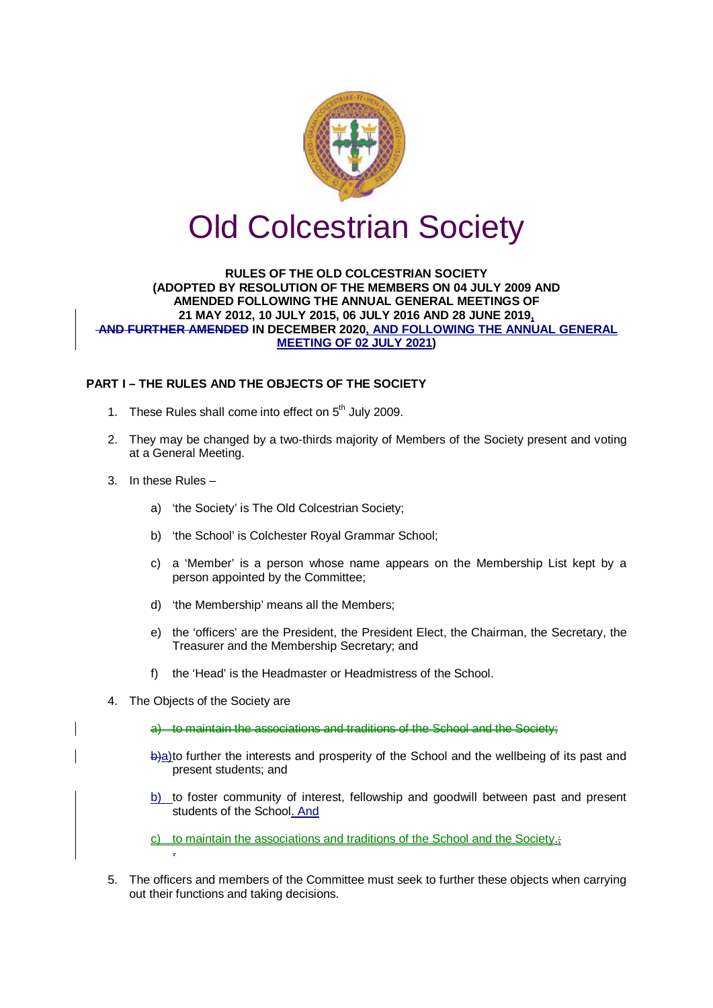

# Old Colcestrian Society

#### **RULES OF THE OLD COLCESTRIAN SOCIETY (ADOPTED BY RESOLUTION OF THE MEMBERS ON 04 JULY 2009 AND AMENDED FOLLOWING THE ANNUAL GENERAL MEETINGS OF 21 MAY 2012, 10 JULY 2015, 06 JULY 2016 AND 28 JUNE 2019, AND FURTHER AMENDED IN DECEMBER 2020, AND FOLLOWING THE ANNUAL GENERAL MEETING OF 02 JULY 2021)**

## **PART I – THE RULES AND THE OBJECTS OF THE SOCIETY**

- 1. These Rules shall come into effect on  $5<sup>th</sup>$  July 2009.
- 2. They may be changed by a two-thirds majority of Members of the Society present and voting at a General Meeting.
- 3. In these Rules
	- a) 'the Society' is The Old Colcestrian Society;
	- b) 'the School' is Colchester Royal Grammar School;
	- c) a 'Member' is a person whose name appears on the Membership List kept by a person appointed by the Committee;
	- d) 'the Membership' means all the Members;
	- e) the 'officers' are the President, the President Elect, the Chairman, the Secretary, the Treasurer and the Membership Secretary; and
	- f) the 'Head' is the Headmaster or Headmistress of the School.
- 4. The Objects of the Society are
	- a) to maintain the associations and traditions of the School and the Society;
	- b)a)to further the interests and prosperity of the School and the wellbeing of its past and present students; and
	- b) to foster community of interest, fellowship and goodwill between past and present students of the School. And
	- c) to maintain the associations and traditions of the School and the Society.; .
- 5. The officers and members of the Committee must seek to further these objects when carrying out their functions and taking decisions.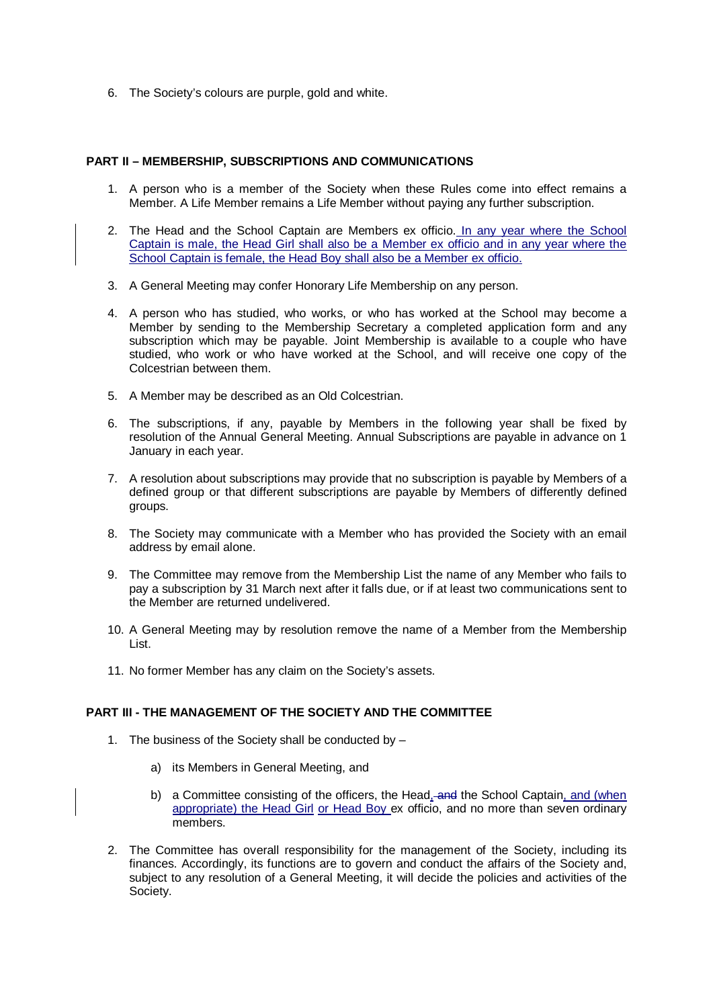6. The Society's colours are purple, gold and white.

#### **PART II – MEMBERSHIP, SUBSCRIPTIONS AND COMMUNICATIONS**

- 1. A person who is a member of the Society when these Rules come into effect remains a Member. A Life Member remains a Life Member without paying any further subscription.
- 2. The Head and the School Captain are Members ex officio. In any year where the School Captain is male, the Head Girl shall also be a Member ex officio and in any year where the School Captain is female, the Head Boy shall also be a Member ex officio.
- 3. A General Meeting may confer Honorary Life Membership on any person.
- 4. A person who has studied, who works, or who has worked at the School may become a Member by sending to the Membership Secretary a completed application form and any subscription which may be payable. Joint Membership is available to a couple who have studied, who work or who have worked at the School, and will receive one copy of the Colcestrian between them.
- 5. A Member may be described as an Old Colcestrian.
- 6. The subscriptions, if any, payable by Members in the following year shall be fixed by resolution of the Annual General Meeting. Annual Subscriptions are payable in advance on 1 January in each year.
- 7. A resolution about subscriptions may provide that no subscription is payable by Members of a defined group or that different subscriptions are payable by Members of differently defined groups.
- 8. The Society may communicate with a Member who has provided the Society with an email address by email alone.
- 9. The Committee may remove from the Membership List the name of any Member who fails to pay a subscription by 31 March next after it falls due, or if at least two communications sent to the Member are returned undelivered.
- 10. A General Meeting may by resolution remove the name of a Member from the Membership List.
- 11. No former Member has any claim on the Society's assets.

### **PART III - THE MANAGEMENT OF THE SOCIETY AND THE COMMITTEE**

- 1. The business of the Society shall be conducted by
	- a) its Members in General Meeting, and
	- b) a Committee consisting of the officers, the Head, and the School Captain, and (when appropriate) the Head Girl or Head Boy ex officio, and no more than seven ordinary members.
- 2. The Committee has overall responsibility for the management of the Society, including its finances. Accordingly, its functions are to govern and conduct the affairs of the Society and, subject to any resolution of a General Meeting, it will decide the policies and activities of the Society.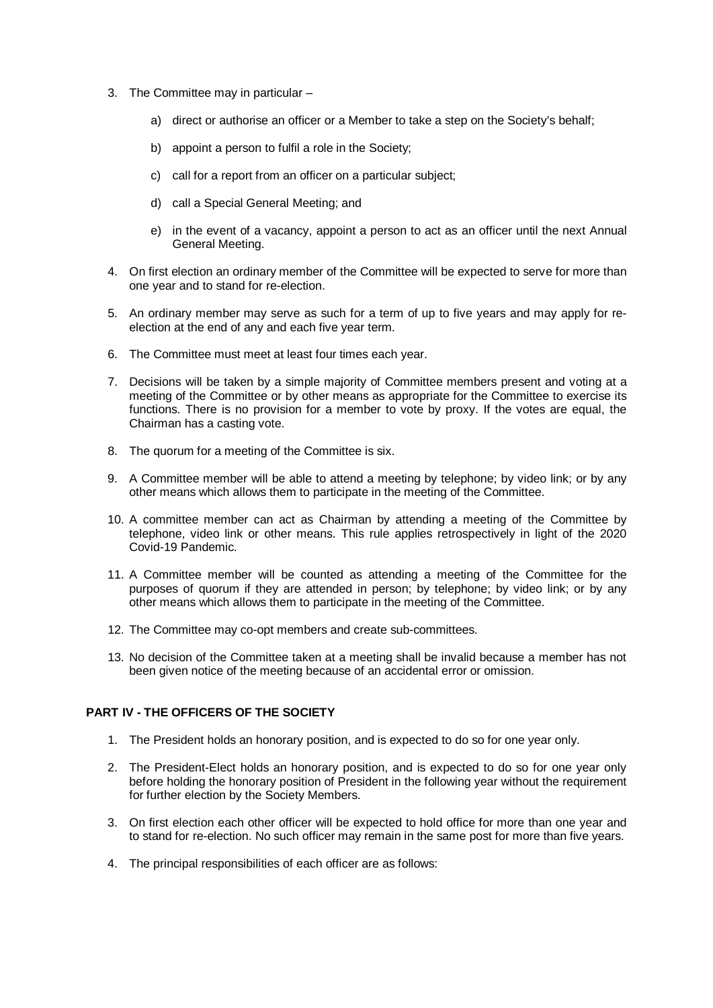- 3. The Committee may in particular
	- a) direct or authorise an officer or a Member to take a step on the Society's behalf;
	- b) appoint a person to fulfil a role in the Society;
	- c) call for a report from an officer on a particular subject;
	- d) call a Special General Meeting; and
	- e) in the event of a vacancy, appoint a person to act as an officer until the next Annual General Meeting.
- 4. On first election an ordinary member of the Committee will be expected to serve for more than one year and to stand for re-election.
- 5. An ordinary member may serve as such for a term of up to five years and may apply for reelection at the end of any and each five year term.
- 6. The Committee must meet at least four times each year.
- 7. Decisions will be taken by a simple majority of Committee members present and voting at a meeting of the Committee or by other means as appropriate for the Committee to exercise its functions. There is no provision for a member to vote by proxy. If the votes are equal, the Chairman has a casting vote.
- 8. The quorum for a meeting of the Committee is six.
- 9. A Committee member will be able to attend a meeting by telephone; by video link; or by any other means which allows them to participate in the meeting of the Committee.
- 10. A committee member can act as Chairman by attending a meeting of the Committee by telephone, video link or other means. This rule applies retrospectively in light of the 2020 Covid-19 Pandemic.
- 11. A Committee member will be counted as attending a meeting of the Committee for the purposes of quorum if they are attended in person; by telephone; by video link; or by any other means which allows them to participate in the meeting of the Committee.
- 12. The Committee may co-opt members and create sub-committees.
- 13. No decision of the Committee taken at a meeting shall be invalid because a member has not been given notice of the meeting because of an accidental error or omission.

### **PART IV - THE OFFICERS OF THE SOCIETY**

- 1. The President holds an honorary position, and is expected to do so for one year only.
- 2. The President-Elect holds an honorary position, and is expected to do so for one year only before holding the honorary position of President in the following year without the requirement for further election by the Society Members.
- 3. On first election each other officer will be expected to hold office for more than one year and to stand for re-election. No such officer may remain in the same post for more than five years.
- 4. The principal responsibilities of each officer are as follows: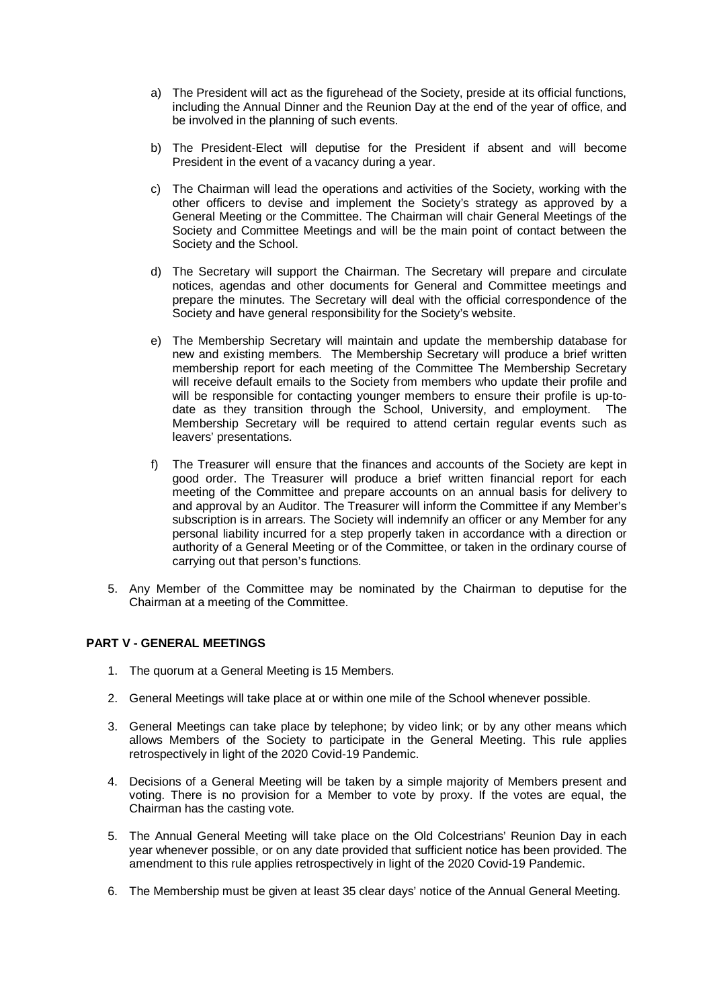- a) The President will act as the figurehead of the Society, preside at its official functions, including the Annual Dinner and the Reunion Day at the end of the year of office, and be involved in the planning of such events.
- b) The President-Elect will deputise for the President if absent and will become President in the event of a vacancy during a year.
- c) The Chairman will lead the operations and activities of the Society, working with the other officers to devise and implement the Society's strategy as approved by a General Meeting or the Committee. The Chairman will chair General Meetings of the Society and Committee Meetings and will be the main point of contact between the Society and the School.
- d) The Secretary will support the Chairman. The Secretary will prepare and circulate notices, agendas and other documents for General and Committee meetings and prepare the minutes. The Secretary will deal with the official correspondence of the Society and have general responsibility for the Society's website.
- e) The Membership Secretary will maintain and update the membership database for new and existing members. The Membership Secretary will produce a brief written membership report for each meeting of the Committee The Membership Secretary will receive default emails to the Society from members who update their profile and will be responsible for contacting younger members to ensure their profile is up-todate as they transition through the School, University, and employment. The Membership Secretary will be required to attend certain regular events such as leavers' presentations.
- f) The Treasurer will ensure that the finances and accounts of the Society are kept in good order. The Treasurer will produce a brief written financial report for each meeting of the Committee and prepare accounts on an annual basis for delivery to and approval by an Auditor. The Treasurer will inform the Committee if any Member's subscription is in arrears. The Society will indemnify an officer or any Member for any personal liability incurred for a step properly taken in accordance with a direction or authority of a General Meeting or of the Committee, or taken in the ordinary course of carrying out that person's functions.
- 5. Any Member of the Committee may be nominated by the Chairman to deputise for the Chairman at a meeting of the Committee.

### **PART V - GENERAL MEETINGS**

- 1. The quorum at a General Meeting is 15 Members.
- 2. General Meetings will take place at or within one mile of the School whenever possible.
- 3. General Meetings can take place by telephone; by video link; or by any other means which allows Members of the Society to participate in the General Meeting. This rule applies retrospectively in light of the 2020 Covid-19 Pandemic.
- 4. Decisions of a General Meeting will be taken by a simple majority of Members present and voting. There is no provision for a Member to vote by proxy. If the votes are equal, the Chairman has the casting vote.
- 5. The Annual General Meeting will take place on the Old Colcestrians' Reunion Day in each year whenever possible, or on any date provided that sufficient notice has been provided. The amendment to this rule applies retrospectively in light of the 2020 Covid-19 Pandemic.
- 6. The Membership must be given at least 35 clear days' notice of the Annual General Meeting.